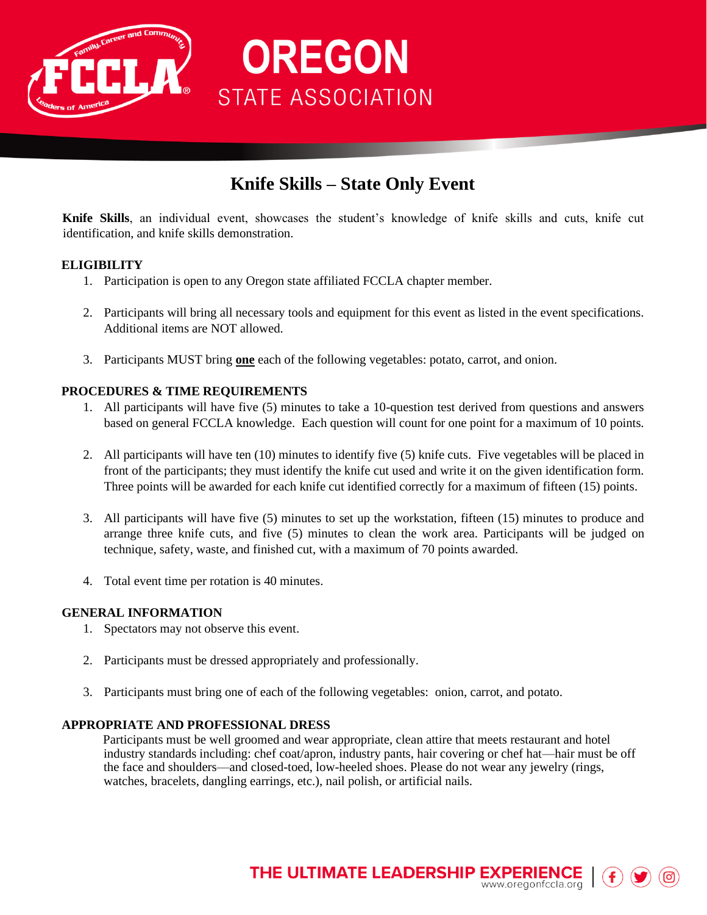

## **Knife Skills – State Only Event**

**OREGON** 

**STATE ASSOCIATION** 

**Knife Skills**, an individual event, showcases the student's knowledge of knife skills and cuts, knife cut identification, and knife skills demonstration.

#### **ELIGIBILITY**

- 1. Participation is open to any Oregon state affiliated FCCLA chapter member.
- 2. Participants will bring all necessary tools and equipment for this event as listed in the event specifications. Additional items are NOT allowed.
- 3. Participants MUST bring **one** each of the following vegetables: potato, carrot, and onion.

#### **PROCEDURES & TIME REQUIREMENTS**

- 1. All participants will have five (5) minutes to take a 10-question test derived from questions and answers based on general FCCLA knowledge. Each question will count for one point for a maximum of 10 points.
- 2. All participants will have ten (10) minutes to identify five (5) knife cuts. Five vegetables will be placed in front of the participants; they must identify the knife cut used and write it on the given identification form. Three points will be awarded for each knife cut identified correctly for a maximum of fifteen (15) points.
- 3. All participants will have five (5) minutes to set up the workstation, fifteen (15) minutes to produce and arrange three knife cuts, and five (5) minutes to clean the work area. Participants will be judged on technique, safety, waste, and finished cut, with a maximum of 70 points awarded.
- 4. Total event time per rotation is 40 minutes.

#### **GENERAL INFORMATION**

- 1. Spectators may not observe this event.
- 2. Participants must be dressed appropriately and professionally.
- 3. Participants must bring one of each of the following vegetables: onion, carrot, and potato.

#### **APPROPRIATE AND PROFESSIONAL DRESS**

Participants must be well groomed and wear appropriate, clean attire that meets restaurant and hotel industry standards including: chef coat/apron, industry pants, hair covering or chef hat—hair must be off the face and shoulders—and closed-toed, low-heeled shoes. Please do not wear any jewelry (rings, watches, bracelets, dangling earrings, etc.), nail polish, or artificial nails.

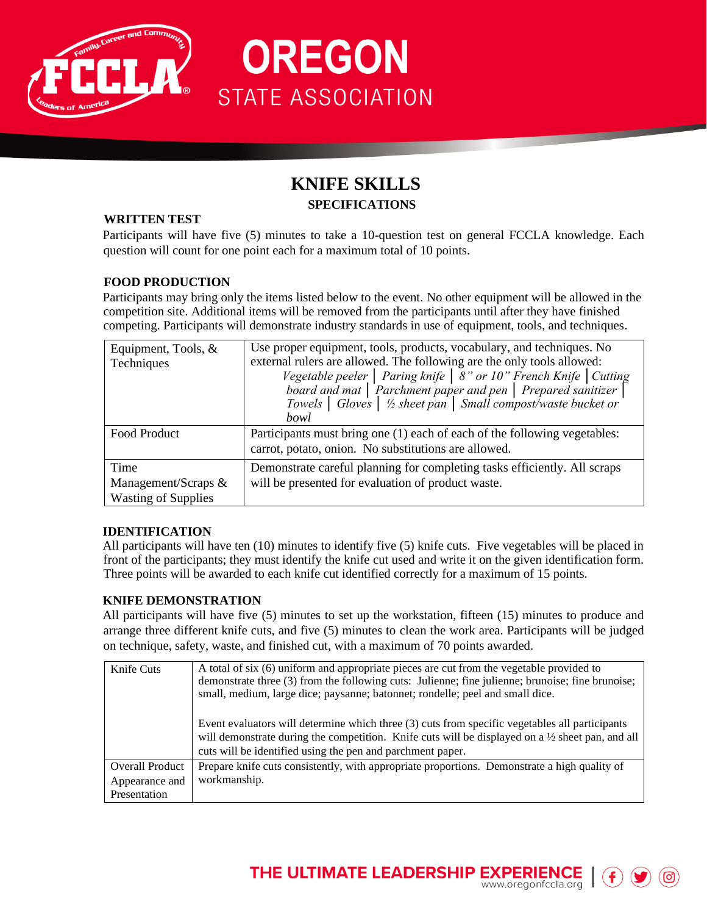

### **KNIFE SKILLS SPECIFICATIONS**

**OREGON** 

**STATE ASSOCIATION** 

#### **WRITTEN TEST**

Participants will have five (5) minutes to take a 10-question test on general FCCLA knowledge. Each question will count for one point each for a maximum total of 10 points.

#### **FOOD PRODUCTION**

Participants may bring only the items listed below to the event. No other equipment will be allowed in the competition site. Additional items will be removed from the participants until after they have finished competing. Participants will demonstrate industry standards in use of equipment, tools, and techniques.

| Equipment, Tools, &        | Use proper equipment, tools, products, vocabulary, and techniques. No                     |  |  |  |  |  |  |  |
|----------------------------|-------------------------------------------------------------------------------------------|--|--|--|--|--|--|--|
| Techniques                 | external rulers are allowed. The following are the only tools allowed:                    |  |  |  |  |  |  |  |
|                            | Vegetable peeler   Paring knife   8" or 10" French Knife   Cutting                        |  |  |  |  |  |  |  |
|                            | board and mat   Parchment paper and pen   Prepared sanitizer                              |  |  |  |  |  |  |  |
|                            | Towels $\vert$ Gloves $\vert \frac{1}{2}$ sheet pan $\vert$ Small compost/waste bucket or |  |  |  |  |  |  |  |
|                            | bowl                                                                                      |  |  |  |  |  |  |  |
| Food Product               | Participants must bring one (1) each of each of the following vegetables:                 |  |  |  |  |  |  |  |
|                            | carrot, potato, onion. No substitutions are allowed.                                      |  |  |  |  |  |  |  |
| Time                       | Demonstrate careful planning for completing tasks efficiently. All scraps                 |  |  |  |  |  |  |  |
| Management/Scraps $&$      | will be presented for evaluation of product waste.                                        |  |  |  |  |  |  |  |
| <b>Wasting of Supplies</b> |                                                                                           |  |  |  |  |  |  |  |

#### **IDENTIFICATION**

All participants will have ten (10) minutes to identify five (5) knife cuts. Five vegetables will be placed in front of the participants; they must identify the knife cut used and write it on the given identification form. Three points will be awarded to each knife cut identified correctly for a maximum of 15 points.

#### **KNIFE DEMONSTRATION**

All participants will have five (5) minutes to set up the workstation, fifteen (15) minutes to produce and arrange three different knife cuts, and five (5) minutes to clean the work area. Participants will be judged on technique, safety, waste, and finished cut, with a maximum of 70 points awarded.

| Knife Cuts             | A total of six (6) uniform and appropriate pieces are cut from the vegetable provided to<br>demonstrate three (3) from the following cuts: Julienne; fine julienne; brunoise; fine brunoise;<br>small, medium, large dice; paysanne; batonnet; rondelle; peel and small dice. |
|------------------------|-------------------------------------------------------------------------------------------------------------------------------------------------------------------------------------------------------------------------------------------------------------------------------|
|                        | Event evaluators will determine which three (3) cuts from specific vegetables all participants<br>will demonstrate during the competition. Knife cuts will be displayed on a $\frac{1}{2}$ sheet pan, and all<br>cuts will be identified using the pen and parchment paper.   |
| <b>Overall Product</b> | Prepare knife cuts consistently, with appropriate proportions. Demonstrate a high quality of                                                                                                                                                                                  |
| Appearance and         | workmanship.                                                                                                                                                                                                                                                                  |
| Presentation           |                                                                                                                                                                                                                                                                               |

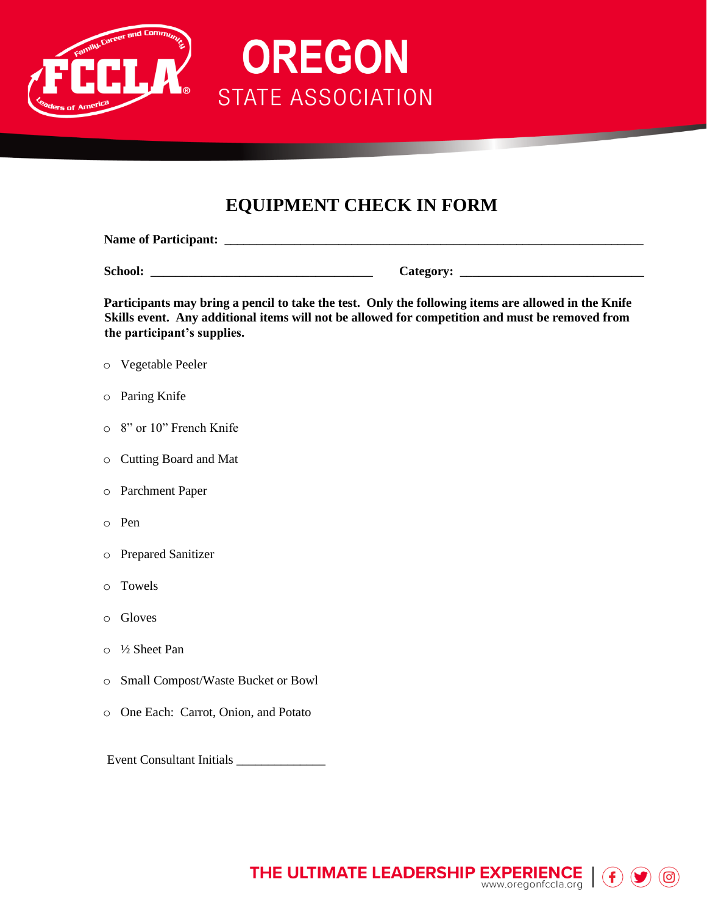

# **EQUIPMENT CHECK IN FORM**

**OREGON** 

**STATE ASSOCIATION** 

| <b>Name of Participant:</b> |                  |
|-----------------------------|------------------|
|                             |                  |
| School:                     | <b>Category:</b> |

**Participants may bring a pencil to take the test. Only the following items are allowed in the Knife Skills event. Any additional items will not be allowed for competition and must be removed from the participant's supplies.** 

- o Vegetable Peeler
- o Paring Knife
- o 8" or 10" French Knife
- o Cutting Board and Mat
- o Parchment Paper
- o Pen
- o Prepared Sanitizer
- o Towels
- o Gloves
- o ½ Sheet Pan
- o Small Compost/Waste Bucket or Bowl
- o One Each: Carrot, Onion, and Potato

Event Consultant Initials \_\_\_\_\_\_\_\_\_\_\_\_\_\_

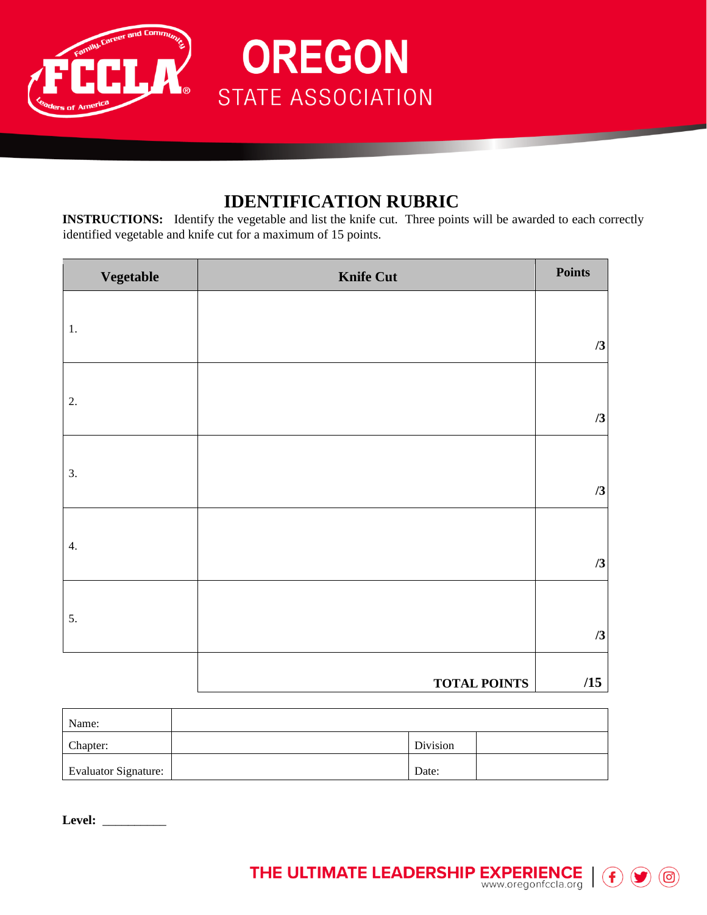

### **IDENTIFICATION RUBRIC**

**OREGON** 

**STATE ASSOCIATION** 

**INSTRUCTIONS:** Identify the vegetable and list the knife cut. Three points will be awarded to each correctly identified vegetable and knife cut for a maximum of 15 points.

| <b>Vegetable</b> | <b>Knife Cut</b>    | Points |
|------------------|---------------------|--------|
|                  |                     |        |
| 1.               |                     | /3     |
|                  |                     |        |
| 2.               |                     | /3     |
|                  |                     |        |
| 3.               |                     | /3     |
|                  |                     |        |
| 4.               |                     | /3     |
|                  |                     |        |
| 5.               |                     | /3     |
|                  |                     |        |
|                  | <b>TOTAL POINTS</b> | /15    |

| Name:                       |          |  |
|-----------------------------|----------|--|
| Chapter:                    | Division |  |
| <b>Evaluator Signature:</b> | Date:    |  |

**Level:** \_\_\_\_\_\_\_\_\_\_

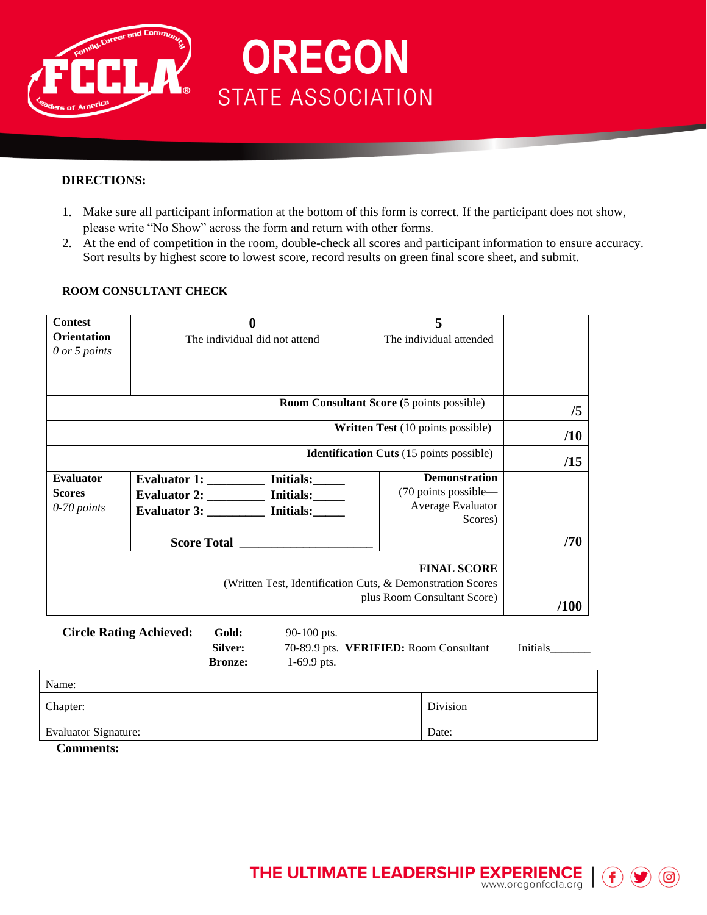

#### **DIRECTIONS:**

1. Make sure all participant information at the bottom of this form is correct. If the participant does not show, please write "No Show" across the form and return with other forms.

**OREGON** 

**STATE ASSOCIATION** 

2. At the end of competition in the room, double-check all scores and participant information to ensure accuracy. Sort results by highest score to lowest score, record results on green final score sheet, and submit.

#### **ROOM CONSULTANT CHECK**

| <b>Contest</b><br><b>Orientation</b>             |                                                                                                                                  | $\bf{0}$                                                                     | The individual did not attend                              |  | 5<br>The individual attended                      |          |
|--------------------------------------------------|----------------------------------------------------------------------------------------------------------------------------------|------------------------------------------------------------------------------|------------------------------------------------------------|--|---------------------------------------------------|----------|
| 0 or 5 points                                    |                                                                                                                                  |                                                                              |                                                            |  |                                                   |          |
|                                                  |                                                                                                                                  |                                                                              |                                                            |  |                                                   |          |
|                                                  |                                                                                                                                  |                                                                              | <b>Room Consultant Score</b> (5 points possible)           |  |                                                   | /5       |
|                                                  |                                                                                                                                  |                                                                              |                                                            |  | Written Test (10 points possible)                 | /10      |
|                                                  |                                                                                                                                  |                                                                              |                                                            |  | <b>Identification Cuts</b> (15 points possible)   | /15      |
| <b>Evaluator</b><br><b>Scores</b><br>0-70 points | Evaluator 1: ___________ Initials:______<br>Evaluator 2: ___________ Initials: ______<br>Evaluator 3: __________ Initials: _____ | <b>Demonstration</b><br>(70 points possible-<br>Average Evaluator<br>Scores) |                                                            |  |                                                   |          |
|                                                  |                                                                                                                                  |                                                                              |                                                            |  |                                                   | /70      |
|                                                  |                                                                                                                                  |                                                                              | (Written Test, Identification Cuts, & Demonstration Scores |  | <b>FINAL SCORE</b><br>plus Room Consultant Score) | /100     |
| <b>Circle Rating Achieved:</b>                   |                                                                                                                                  | Gold:<br>Silver:<br><b>Bronze:</b>                                           | 90-100 pts.<br>$1-69.9$ pts.                               |  | 70-89.9 pts. VERIFIED: Room Consultant            | Initials |
| Name:                                            |                                                                                                                                  |                                                                              |                                                            |  |                                                   |          |
| Chapter:                                         |                                                                                                                                  |                                                                              |                                                            |  | Division                                          |          |
| <b>Evaluator Signature:</b><br>$\Gamma$ ommonte: |                                                                                                                                  |                                                                              |                                                            |  | Date:                                             |          |

**Comments:**